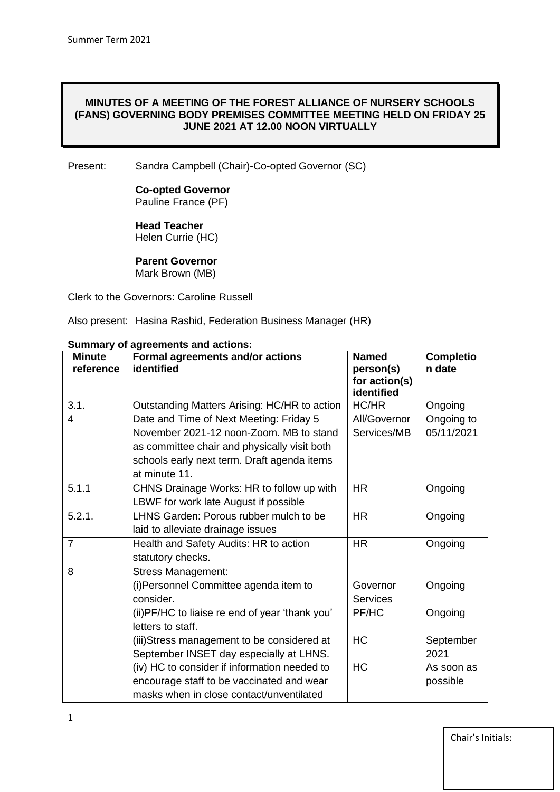#### **MINUTES OF A MEETING OF THE FOREST ALLIANCE OF NURSERY SCHOOLS (FANS) GOVERNING BODY PREMISES COMMITTEE MEETING HELD ON FRIDAY 25 JUNE 2021 AT 12.00 NOON VIRTUALLY**

Present: Sandra Campbell (Chair)-Co-opted Governor (SC)

#### **Co-opted Governor** Pauline France (PF)

**Head Teacher**  Helen Currie (HC)

**Parent Governor** Mark Brown (MB)

Clerk to the Governors: Caroline Russell

Also present: Hasina Rashid, Federation Business Manager (HR)

| <b>Minute</b><br>reference | Formal agreements and/or actions<br>identified                       | <b>Named</b><br>person(s)<br>for action(s)<br>identified | <b>Completio</b><br>n date |
|----------------------------|----------------------------------------------------------------------|----------------------------------------------------------|----------------------------|
| 3.1.                       | Outstanding Matters Arising: HC/HR to action                         | HC/HR                                                    | Ongoing                    |
| 4                          | Date and Time of Next Meeting: Friday 5                              | All/Governor                                             | Ongoing to                 |
|                            | November 2021-12 noon-Zoom. MB to stand                              | Services/MB                                              | 05/11/2021                 |
|                            | as committee chair and physically visit both                         |                                                          |                            |
|                            | schools early next term. Draft agenda items                          |                                                          |                            |
|                            | at minute 11.                                                        |                                                          |                            |
| 5.1.1                      | CHNS Drainage Works: HR to follow up with                            | <b>HR</b>                                                | Ongoing                    |
|                            | LBWF for work late August if possible                                |                                                          |                            |
| $\overline{5}$ .2.1.       | LHNS Garden: Porous rubber mulch to be                               | <b>HR</b>                                                | Ongoing                    |
|                            | laid to alleviate drainage issues                                    |                                                          |                            |
| $\overline{7}$             | Health and Safety Audits: HR to action                               | <b>HR</b>                                                | Ongoing                    |
|                            | statutory checks.                                                    |                                                          |                            |
| 8                          | <b>Stress Management:</b>                                            |                                                          |                            |
|                            | (i) Personnel Committee agenda item to                               | Governor                                                 | Ongoing                    |
|                            | consider.                                                            | <b>Services</b>                                          |                            |
|                            | (ii) PF/HC to liaise re end of year 'thank you'<br>letters to staff. | PF/HC                                                    | Ongoing                    |
|                            | (iii) Stress management to be considered at                          | <b>HC</b>                                                | September                  |
|                            | September INSET day especially at LHNS.                              |                                                          | 2021                       |
|                            | (iv) HC to consider if information needed to                         | <b>HC</b>                                                | As soon as                 |
|                            | encourage staff to be vaccinated and wear                            |                                                          | possible                   |
|                            | masks when in close contact/unventilated                             |                                                          |                            |

#### **Summary of agreements and actions:**

Chair's Initials: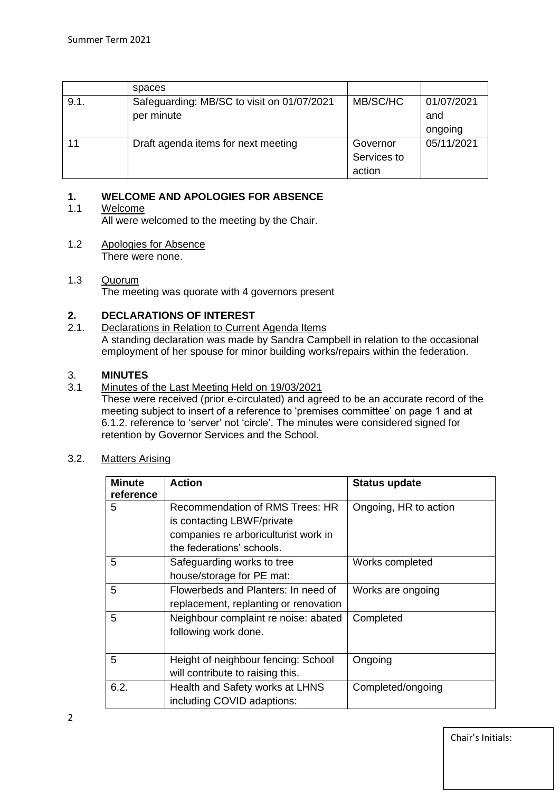|      | spaces                                     |             |            |
|------|--------------------------------------------|-------------|------------|
| 9.1. | Safeguarding: MB/SC to visit on 01/07/2021 | MB/SC/HC    | 01/07/2021 |
|      | per minute                                 |             | and        |
|      |                                            |             | ongoing    |
|      | Draft agenda items for next meeting        | Governor    | 05/11/2021 |
|      |                                            | Services to |            |
|      |                                            | action      |            |

# **1. WELCOME AND APOLOGIES FOR ABSENCE**

# 1.1 Welcome

All were welcomed to the meeting by the Chair.

1.2 Apologies for Absence There were none.

## 1.3 Quorum The meeting was quorate with 4 governors present

# **2. DECLARATIONS OF INTEREST**

#### 2.1. Declarations in Relation to Current Agenda Items A standing declaration was made by Sandra Campbell in relation to the occasional employment of her spouse for minor building works/repairs within the federation.

# 3. **MINUTES**

3.1 Minutes of the Last Meeting Held on 19/03/2021

These were received (prior e-circulated) and agreed to be an accurate record of the meeting subject to insert of a reference to 'premises committee' on page 1 and at 6.1.2. reference to 'server' not 'circle'. The minutes were considered signed for retention by Governor Services and the School.

3.2. Matters Arising

| <b>Minute</b><br>reference | <b>Action</b>                         | <b>Status update</b>  |
|----------------------------|---------------------------------------|-----------------------|
| 5                          | Recommendation of RMS Trees: HR       | Ongoing, HR to action |
|                            | is contacting LBWF/private            |                       |
|                            | companies re arboriculturist work in  |                       |
|                            | the federations' schools.             |                       |
| 5                          | Safeguarding works to tree            | Works completed       |
|                            | house/storage for PE mat:             |                       |
| 5                          | Flowerbeds and Planters: In need of   | Works are ongoing     |
|                            | replacement, replanting or renovation |                       |
| 5                          | Neighbour complaint re noise: abated  | Completed             |
|                            | following work done.                  |                       |
|                            |                                       |                       |
| 5                          | Height of neighbour fencing: School   | Ongoing               |
|                            | will contribute to raising this.      |                       |
| 6.2.                       | Health and Safety works at LHNS       | Completed/ongoing     |
|                            | including COVID adaptions:            |                       |

Chair's Initials: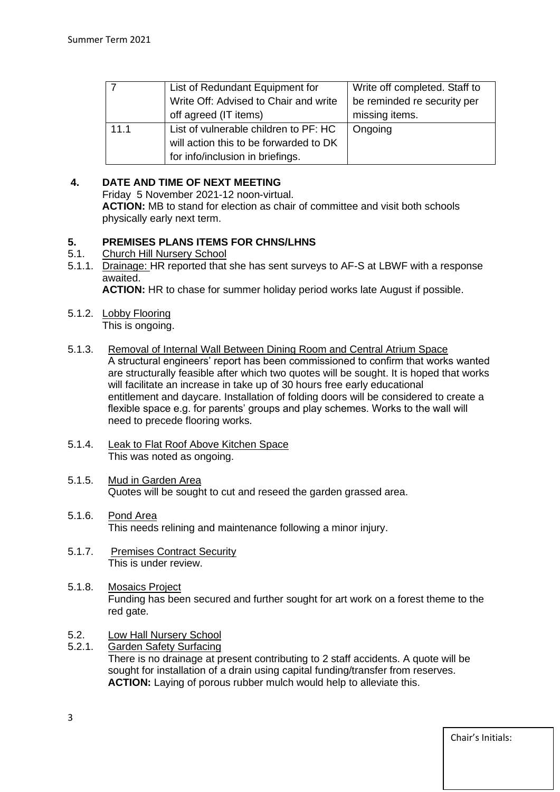| 7    | List of Redundant Equipment for        | Write off completed. Staff to |
|------|----------------------------------------|-------------------------------|
|      | Write Off: Advised to Chair and write  | be reminded re security per   |
|      | off agreed (IT items)                  | missing items.                |
| 11.1 | List of vulnerable children to PF: HC  | Ongoing                       |
|      | will action this to be forwarded to DK |                               |
|      | for info/inclusion in briefings.       |                               |

# **4. DATE AND TIME OF NEXT MEETING**

 Friday 5 November 2021-12 noon-virtual. **ACTION:** MB to stand for election as chair of committee and visit both schools physically early next term.

# **5. PREMISES PLANS ITEMS FOR CHNS/LHNS**<br>5.1 Church Hill Nursery School

- 5.1. Church Hill Nursery School
- 5.1.1. Drainage: HR reported that she has sent surveys to AF-S at LBWF with a response awaited.

**ACTION:** HR to chase for summer holiday period works late August if possible.

- 5.1.2. Lobby Flooring This is ongoing.
- 5.1.3. Removal of Internal Wall Between Dining Room and Central Atrium Space A structural engineers' report has been commissioned to confirm that works wanted are structurally feasible after which two quotes will be sought. It is hoped that works will facilitate an increase in take up of 30 hours free early educational entitlement and daycare. Installation of folding doors will be considered to create a flexible space e.g. for parents' groups and play schemes. Works to the wall will need to precede flooring works.
- 5.1.4. Leak to Flat Roof Above Kitchen Space This was noted as ongoing.
- 5.1.5. Mud in Garden Area Quotes will be sought to cut and reseed the garden grassed area.
- 5.1.6. Pond Area This needs relining and maintenance following a minor injury.
- 5.1.7. Premises Contract Security This is under review.
- 5.1.8. Mosaics Project Funding has been secured and further sought for art work on a forest theme to the red gate.
- 5.2. Low Hall Nursery School
- 5.2.1. Garden Safety Surfacing There is no drainage at present contributing to 2 staff accidents. A quote will be sought for installation of a drain using capital funding/transfer from reserves. **ACTION:** Laying of porous rubber mulch would help to alleviate this.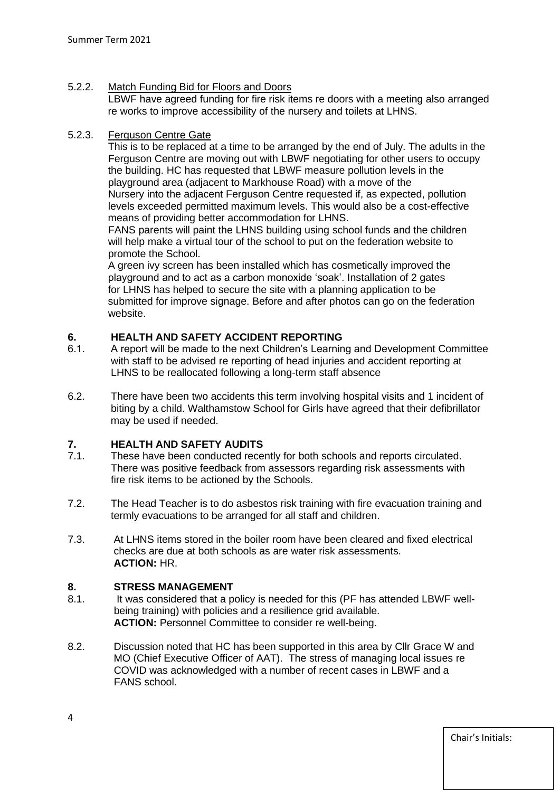# 5.2.2. Match Funding Bid for Floors and Doors

 LBWF have agreed funding for fire risk items re doors with a meeting also arranged re works to improve accessibility of the nursery and toilets at LHNS.

## 5.2.3. Ferguson Centre Gate

 This is to be replaced at a time to be arranged by the end of July. The adults in the Ferguson Centre are moving out with LBWF negotiating for other users to occupy the building. HC has requested that LBWF measure pollution levels in the playground area (adjacent to Markhouse Road) with a move of the Nursery into the adjacent Ferguson Centre requested if, as expected, pollution levels exceeded permitted maximum levels. This would also be a cost-effective means of providing better accommodation for LHNS.

 FANS parents will paint the LHNS building using school funds and the children will help make a virtual tour of the school to put on the federation website to promote the School.

 A green ivy screen has been installed which has cosmetically improved the playground and to act as a carbon monoxide 'soak'. Installation of 2 gates for LHNS has helped to secure the site with a planning application to be submitted for improve signage. Before and after photos can go on the federation website.

# **6. HEALTH AND SAFETY ACCIDENT REPORTING**

- 6.1. A report will be made to the next Children's Learning and Development Committee with staff to be advised re reporting of head injuries and accident reporting at LHNS to be reallocated following a long-term staff absence
- 6.2. There have been two accidents this term involving hospital visits and 1 incident of biting by a child. Walthamstow School for Girls have agreed that their defibrillator may be used if needed.

## **7. HEALTH AND SAFETY AUDITS**

- 7.1. These have been conducted recently for both schools and reports circulated. There was positive feedback from assessors regarding risk assessments with fire risk items to be actioned by the Schools.
- 7.2. The Head Teacher is to do asbestos risk training with fire evacuation training and termly evacuations to be arranged for all staff and children.
- 7.3. At LHNS items stored in the boiler room have been cleared and fixed electrical checks are due at both schools as are water risk assessments. **ACTION:** HR.

## **8. STRESS MANAGEMENT**

- 8.1. It was considered that a policy is needed for this (PF has attended LBWF well being training) with policies and a resilience grid available. **ACTION:** Personnel Committee to consider re well-being.
- 8.2. Discussion noted that HC has been supported in this area by Cllr Grace W and MO (Chief Executive Officer of AAT). The stress of managing local issues re COVID was acknowledged with a number of recent cases in LBWF and a FANS school.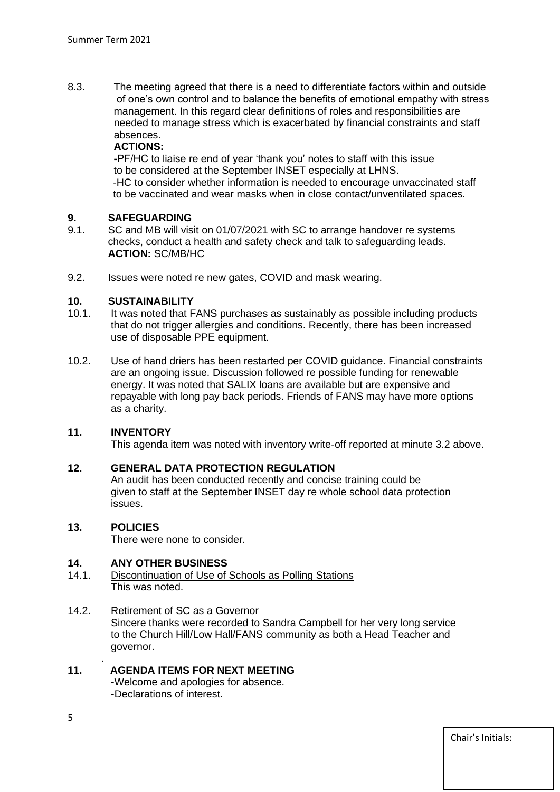8.3. The meeting agreed that there is a need to differentiate factors within and outside of one's own control and to balance the benefits of emotional empathy with stress management. In this regard clear definitions of roles and responsibilities are needed to manage stress which is exacerbated by financial constraints and staff absences.

#### **ACTIONS:**

 **-**PF/HC to liaise re end of year 'thank you' notes to staff with this issue to be considered at the September INSET especially at LHNS. -HC to consider whether information is needed to encourage unvaccinated staff to be vaccinated and wear masks when in close contact/unventilated spaces.

#### **9. SAFEGUARDING**

- 9.1. SC and MB will visit on 01/07/2021 with SC to arrange handover re systems checks, conduct a health and safety check and talk to safeguarding leads. **ACTION:** SC/MB/HC
- 9.2. Issues were noted re new gates, COVID and mask wearing.

#### **10. SUSTAINABILITY**

- 10.1. It was noted that FANS purchases as sustainably as possible including products that do not trigger allergies and conditions. Recently, there has been increased use of disposable PPE equipment.
- 10.2. Use of hand driers has been restarted per COVID guidance. Financial constraints are an ongoing issue. Discussion followed re possible funding for renewable energy. It was noted that SALIX loans are available but are expensive and repayable with long pay back periods. Friends of FANS may have more options as a charity.

## **11. INVENTORY**

This agenda item was noted with inventory write-off reported at minute 3.2 above.

# **12. GENERAL DATA PROTECTION REGULATION**

 An audit has been conducted recently and concise training could be given to staff at the September INSET day re whole school data protection issues.

## **13. POLICIES**

.

There were none to consider.

## **14. ANY OTHER BUSINESS**

14.1. Discontinuation of Use of Schools as Polling Stations This was noted.

## 14.2. Retirement of SC as a Governor

 Sincere thanks were recorded to Sandra Campbell for her very long service to the Church Hill/Low Hall/FANS community as both a Head Teacher and governor.

# **11. AGENDA ITEMS FOR NEXT MEETING**

-Welcome and apologies for absence. -Declarations of interest.